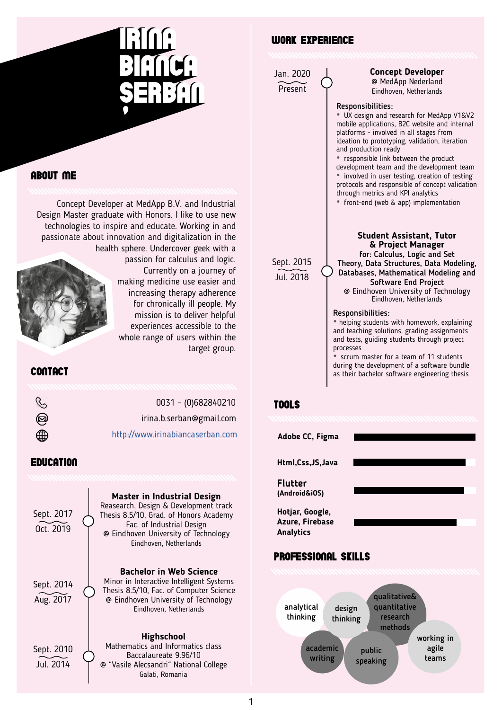

# About me

Concept Developer at MedApp B.V. and Industrial Design Master graduate with Honors. I like to use new technologies to inspire and educate. Working in and passionate about innovation and digitalization in the health sphere. Undercover geek with a passion for calculus and logic. Currently on a journey of making medicine use easier and



increasing therapy adherence for chronically ill people. My mission is to deliver helpful experiences accessible to the whole range of users within the target group.

# contact

| Ç | 0031 - (0)682840210              |
|---|----------------------------------|
| @ | irina.b.serban@gmail.com         |
| ∰ | http://www.irinabiancaserban.com |

# **EDUCATION**

Sept. 2014 Aug. 2017 Sept. 2017 Oct. 2019 **Bachelor in Web Science** Minor in Interactive Intelligent Systems Thesis 8.5/10, Fac. of Computer Science @ Eindhoven University of Technology Eindhoven, Netherlands **Master in Industrial Design** Reasearch, Design & Development track Thesis 8.5/10, Grad. of Honors Academy Fac. of Industrial Design @ Eindhoven University of Technology Eindhoven, Netherlands Sept. 2010 Jul. 2014 **Highschool** Mathematics and Informatics class Baccalaureate 9.96/10 @ "Vasile Alecsandri" National College Galati, Romania

# work experience

Jan. 2020 **Present** 

# **Concept Developer**

@ MedApp Nederland Eindhoven, Netherlands

### Responsibilities:

**•** UX design and research for MedApp V1&V2 mobile applications, B2C website and internal platforms - involved in all stages from ideation to prototyping, validation, iteration and production ready

**•** responsible link between the product development team and the development team **•** involved in user testing, creation of testing protocols and responsible of concept validation through metrics and KPI analytics

**•** front-end (web & app) implementation

Sept. 2015 Jul. 2018

**Student Assistant, Tutor & Project Manager** for: Calculus, Logic and Set Theory, Data Structures, Data Modeling, Databases, Mathematical Modeling and Software End Project @ Eindhoven University of Technology Eindhoven, Netherlands

### Responsibilities:

**•** helping students with homework, explaining and teaching solutions, grading assignments and tests, guiding students through project processes

**•** scrum master for a team of 11 students during the development of a software bundle as their bachelor software engineering thesis

## tools



public speaking

academic writing

working in agile teams



1